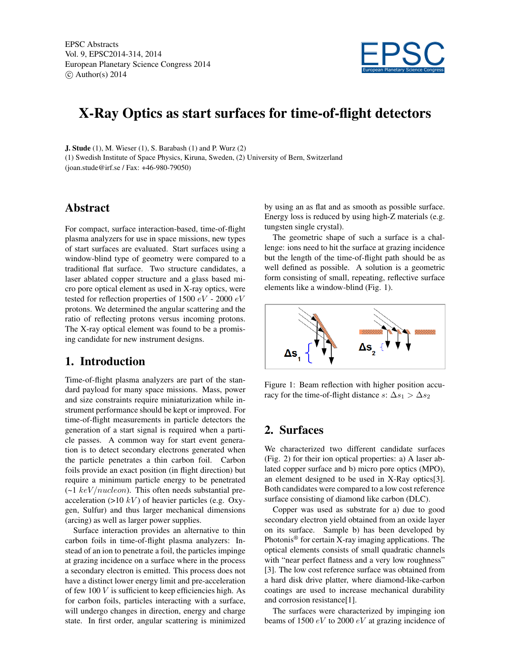EPSC Abstracts Vol. 9, EPSC2014-314, 2014 European Planetary Science Congress 2014  $\circ$  Author(s) 2014



# X-Ray Optics as start surfaces for time-of-flight detectors

J. Stude (1), M. Wieser (1), S. Barabash (1) and P. Wurz (2) (1) Swedish Institute of Space Physics, Kiruna, Sweden, (2) University of Bern, Switzerland (joan.stude@irf.se / Fax: +46-980-79050)

#### Abstract

For compact, surface interaction-based, time-of-flight plasma analyzers for use in space missions, new types of start surfaces are evaluated. Start surfaces using a window-blind type of geometry were compared to a traditional flat surface. Two structure candidates, a laser ablated copper structure and a glass based micro pore optical element as used in X-ray optics, were tested for reflection properties of 1500  $eV$  - 2000  $eV$ protons. We determined the angular scattering and the ratio of reflecting protons versus incoming protons. The X-ray optical element was found to be a promising candidate for new instrument designs.

#### 1. Introduction

Time-of-flight plasma analyzers are part of the standard payload for many space missions. Mass, power and size constraints require miniaturization while instrument performance should be kept or improved. For time-of-flight measurements in particle detectors the generation of a start signal is required when a particle passes. A common way for start event generation is to detect secondary electrons generated when the particle penetrates a thin carbon foil. Carbon foils provide an exact position (in flight direction) but require a minimum particle energy to be penetrated  $\left(\sim\right1 \ keV/nucleon$ ). This often needs substantial preacceleration  $(>10 \; kV)$  of heavier particles (e.g. Oxygen, Sulfur) and thus larger mechanical dimensions (arcing) as well as larger power supplies.

Surface interaction provides an alternative to thin carbon foils in time-of-flight plasma analyzers: Instead of an ion to penetrate a foil, the particles impinge at grazing incidence on a surface where in the process a secondary electron is emitted. This process does not have a distinct lower energy limit and pre-acceleration of few  $100V$  is sufficient to keep efficiencies high. As for carbon foils, particles interacting with a surface, will undergo changes in direction, energy and charge state. In first order, angular scattering is minimized by using an as flat and as smooth as possible surface. Energy loss is reduced by using high-Z materials (e.g. tungsten single crystal).

The geometric shape of such a surface is a challenge: ions need to hit the surface at grazing incidence but the length of the time-of-flight path should be as well defined as possible. A solution is a geometric form consisting of small, repeating, reflective surface elements like a window-blind (Fig. 1).



Figure 1: Beam reflection with higher position accuracy for the time-of-flight distance s:  $\Delta s_1 > \Delta s_2$ 

# 2. Surfaces

We characterized two different candidate surfaces (Fig. 2) for their ion optical properties: a) A laser ablated copper surface and b) micro pore optics (MPO), an element designed to be used in X-Ray optics[3]. Both candidates were compared to a low cost reference surface consisting of diamond like carbon (DLC).

Copper was used as substrate for a) due to good secondary electron yield obtained from an oxide layer on its surface. Sample b) has been developed by Photonis<sup>®</sup> for certain X-ray imaging applications. The optical elements consists of small quadratic channels with "near perfect flatness and a very low roughness" [3]. The low cost reference surface was obtained from a hard disk drive platter, where diamond-like-carbon coatings are used to increase mechanical durability and corrosion resistance[1].

The surfaces were characterized by impinging ion beams of 1500  $eV$  to 2000  $eV$  at grazing incidence of